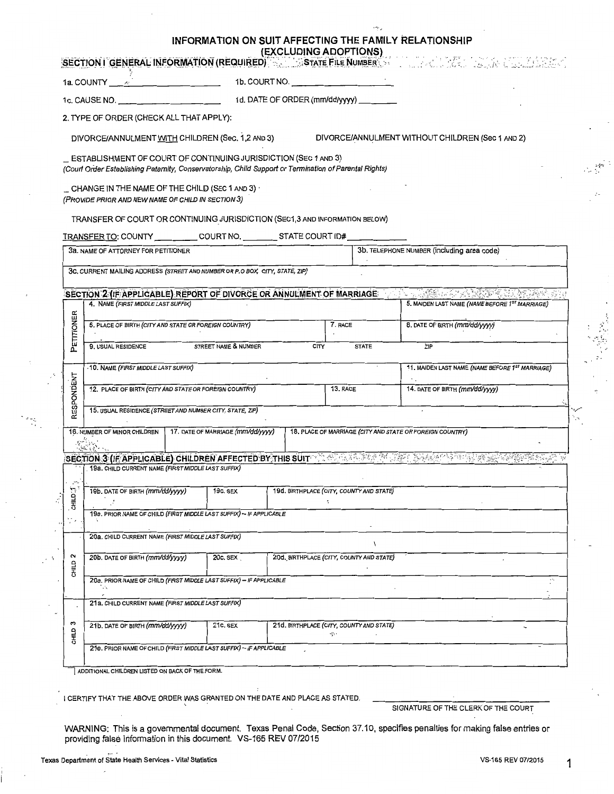|                                                                                                                                                          |                                                                                                                                                                           | INFORMATION ON SUIT AFFECTING THE FAMILY RELATIONSHIP | (EXCLUDING ADOPTIONS)                                     | SECTION I GENERAL INFORMATION (REQUIRED) A STATE FILE NUMBER AND LOCAL AND LOCAL AND LOCAL CONTROL |  |  |  |
|----------------------------------------------------------------------------------------------------------------------------------------------------------|---------------------------------------------------------------------------------------------------------------------------------------------------------------------------|-------------------------------------------------------|-----------------------------------------------------------|----------------------------------------------------------------------------------------------------|--|--|--|
|                                                                                                                                                          | 1a. COUNTY $\begin{array}{ccc} \end{array}$ $\begin{array}{ccc} \end{array}$                                                                                              |                                                       | 1b. COURT NO.                                             |                                                                                                    |  |  |  |
|                                                                                                                                                          | 1c. CAUSE NO.                                                                                                                                                             |                                                       | 1d. DATE OF ORDER (mm/dd/yyyy) _______                    |                                                                                                    |  |  |  |
|                                                                                                                                                          | 2. TYPE OF ORDER (CHECK ALL THAT APPLY):                                                                                                                                  |                                                       |                                                           |                                                                                                    |  |  |  |
| DIVORCE/ANNULMENT WITH CHILDREN (Sec. 1,2 AND 3)<br>DIVORCE/ANNULMENT WITHOUT CHILDREN (Sec 1 AND 2)                                                     |                                                                                                                                                                           |                                                       |                                                           |                                                                                                    |  |  |  |
|                                                                                                                                                          | ESTABLISHMENT OF COURT OF CONTINUING JURISDICTION (SEC 1 AND 3)<br>(Court Order Establishing Paternity, Conservatorship, Child Support or Termination of Parental Rights) |                                                       |                                                           |                                                                                                    |  |  |  |
|                                                                                                                                                          | $\_$ CHANGE IN THE NAME OF THE CHILD (SEC 1 AND 3) $\cdot$<br>(PROVIDE PRIOR AND NEW NAME OF CHILD IN SECTION 3)                                                          |                                                       |                                                           |                                                                                                    |  |  |  |
|                                                                                                                                                          | TRANSFER OF COURT OR CONTINUING JURISDICTION (SEC1,3 AND INFORMATION BELOW)                                                                                               |                                                       |                                                           |                                                                                                    |  |  |  |
| TRANSFER TO: COUNTY ___________ COURT NO. __________ STATE COURT ID# ___________                                                                         |                                                                                                                                                                           |                                                       |                                                           |                                                                                                    |  |  |  |
|                                                                                                                                                          | 3a. NAME OF ATTORNEY FOR PETITIONER                                                                                                                                       |                                                       |                                                           | 3b. TELEPHONE NUMBER (including area code)                                                         |  |  |  |
|                                                                                                                                                          | 3c. CURRENT MAILING ADDRESS (STREET AND NUMBER OR P.O BOX, CITY, STATE, ZIP)                                                                                              |                                                       |                                                           |                                                                                                    |  |  |  |
|                                                                                                                                                          | SECTION 2 (IF APPLICABLE) REPORT OF DIVORCE OR ANNULMENT OF MARRIAGE                                                                                                      |                                                       |                                                           | A LOMBOLY LANGER TO WARE TO                                                                        |  |  |  |
|                                                                                                                                                          | 4. NAME (FIRST MIDDLE LAST SUFFIX)                                                                                                                                        |                                                       |                                                           | 5. MAIDEN LAST NAME (NAME BEFORE 1ST MARRIAGE)                                                     |  |  |  |
| ETITIONER                                                                                                                                                | 6. PLACE OF BIRTH (CITY AND STATE OR FOREIGN COUNTRY)                                                                                                                     |                                                       | 7. RACE                                                   | 8. DATE OF BIRTH (mm/dd/yyyy)                                                                      |  |  |  |
| ۵                                                                                                                                                        | 9. USUAL RESIDENCE<br>STREET NAME & NUMBER<br><b>ZIP</b><br><b>CITY</b><br><b>STATE</b>                                                                                   |                                                       |                                                           |                                                                                                    |  |  |  |
|                                                                                                                                                          | -10. NAME (FIRST MIDDLE LAST SUFFIX)                                                                                                                                      |                                                       |                                                           | 11. MAIDEN LAST NAME (NAME BEFORE 1ST MARRIAGE)                                                    |  |  |  |
| RESPONDENT                                                                                                                                               | 12. PLACE OF BIRTH (CITY AND STATE OR FOREIGN COUNTRY)                                                                                                                    |                                                       | 13. RACE                                                  | 14. DATE OF BIRTH (mm/dd/yyyy)                                                                     |  |  |  |
|                                                                                                                                                          | 15. USUAL RESIDENCE (STREET AND NUMBER CITY, STATE, ZIP)                                                                                                                  |                                                       |                                                           |                                                                                                    |  |  |  |
|                                                                                                                                                          | 16. NUMBER OF MINOR CHILDREN                                                                                                                                              | 17. DATE OF MARRIAGE (mm/dd/yyyy)                     | 18. PLACE OF MARRIAGE (CITY AND STATE OR FOREIGN COUNTRY) |                                                                                                    |  |  |  |
| SECTION:3 (IF APPLICABLE) CHILDREN AFFECTED BY THIS SUIT TO A DEALER OF DEALER CONTRACTORY CHARGES<br>19a. CHILD CURRENT NAME (FIRST MIDDLE LAST SUFFIX) |                                                                                                                                                                           |                                                       |                                                           |                                                                                                    |  |  |  |
| CHILD:1<br>Ż                                                                                                                                             | 19b. DATE OF BIRTH (mm/dd/yyyy)<br>19c. SEX<br>19d. BIRTHPLACE (CITY, COUNTY AND STATE)                                                                                   |                                                       |                                                           |                                                                                                    |  |  |  |
|                                                                                                                                                          | 19e. PRIOR NAME OF CHILD (FIRST MIDDLE LAST SUFFIX) - IF APPLICABLE                                                                                                       |                                                       |                                                           |                                                                                                    |  |  |  |
|                                                                                                                                                          |                                                                                                                                                                           |                                                       |                                                           |                                                                                                    |  |  |  |
| 2<br>CHILD                                                                                                                                               | 20b. DATE OF BIRTH (mm/dd/yyyy)<br>20d. BIRTHPLACE (CITY, COUNTY AND STATE)<br>20c. SEX                                                                                   |                                                       |                                                           |                                                                                                    |  |  |  |
|                                                                                                                                                          | 20e. PRIOR NAME OF CHILD (FIRST MIDDLE LAST SUFFIX) - IF APPLICABLE                                                                                                       |                                                       |                                                           |                                                                                                    |  |  |  |
|                                                                                                                                                          | 21a. CHILD CURRENT NAME (FIRST MIDDLE LAST SUFFIX)                                                                                                                        |                                                       |                                                           |                                                                                                    |  |  |  |
| s<br>CHILD                                                                                                                                               | 21b. DATE OF BIRTH (mm/dd/yyyy)<br>21c. SEX<br>21d. BIRTHPLACE (CITY, COUNTY AND STATE)<br>ige i                                                                          |                                                       |                                                           |                                                                                                    |  |  |  |
|                                                                                                                                                          | 21e. PRIOR NAME OF CHILD (FIRST MIDDLE LAST SUFFIX) - IF APPLICABLE<br>ADDITIONAL CHILDREN LISTED ON BACK OF THE FORM.                                                    |                                                       |                                                           |                                                                                                    |  |  |  |

I CERTIFY THAT THE ABOVE ORDER WAS GRANTED ON THE DATE AND PLACE AS STATED.

SIGNATURE OF THE CLERK OF THE COURT

**WARNING:** This is a governmental document. Texas Penal Code, Section 37.10, specifies penalties for making false entries or providing false information in this document. VS-165 REV 07/2015

ήţ.

 $\ddot{\phantom{1}}$